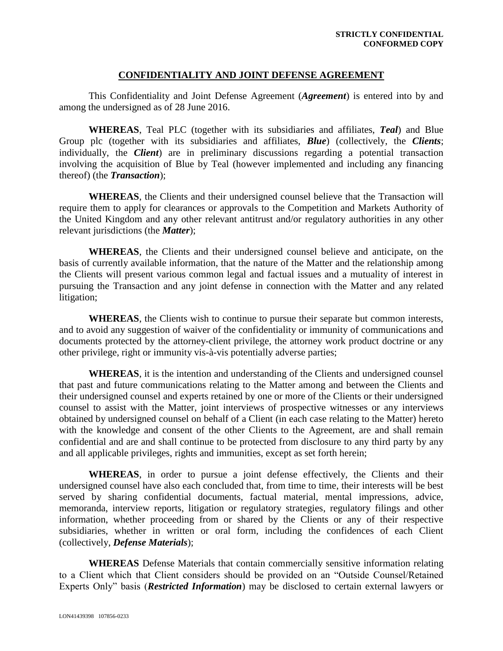### **CONFIDENTIALITY AND JOINT DEFENSE AGREEMENT**

This Confidentiality and Joint Defense Agreement (*Agreement*) is entered into by and among the undersigned as of 28 June 2016.

**WHEREAS**, Teal PLC (together with its subsidiaries and affiliates, *Teal*) and Blue Group plc (together with its subsidiaries and affiliates, *Blue*) (collectively, the *Clients*; individually, the *Client*) are in preliminary discussions regarding a potential transaction involving the acquisition of Blue by Teal (however implemented and including any financing thereof) (the *Transaction*);

**WHEREAS**, the Clients and their undersigned counsel believe that the Transaction will require them to apply for clearances or approvals to the Competition and Markets Authority of the United Kingdom and any other relevant antitrust and/or regulatory authorities in any other relevant jurisdictions (the *Matter*);

**WHEREAS**, the Clients and their undersigned counsel believe and anticipate, on the basis of currently available information, that the nature of the Matter and the relationship among the Clients will present various common legal and factual issues and a mutuality of interest in pursuing the Transaction and any joint defense in connection with the Matter and any related litigation;

**WHEREAS**, the Clients wish to continue to pursue their separate but common interests, and to avoid any suggestion of waiver of the confidentiality or immunity of communications and documents protected by the attorney-client privilege, the attorney work product doctrine or any other privilege, right or immunity vis-à-vis potentially adverse parties;

**WHEREAS**, it is the intention and understanding of the Clients and undersigned counsel that past and future communications relating to the Matter among and between the Clients and their undersigned counsel and experts retained by one or more of the Clients or their undersigned counsel to assist with the Matter, joint interviews of prospective witnesses or any interviews obtained by undersigned counsel on behalf of a Client (in each case relating to the Matter) hereto with the knowledge and consent of the other Clients to the Agreement, are and shall remain confidential and are and shall continue to be protected from disclosure to any third party by any and all applicable privileges, rights and immunities, except as set forth herein;

**WHEREAS**, in order to pursue a joint defense effectively, the Clients and their undersigned counsel have also each concluded that, from time to time, their interests will be best served by sharing confidential documents, factual material, mental impressions, advice, memoranda, interview reports, litigation or regulatory strategies, regulatory filings and other information, whether proceeding from or shared by the Clients or any of their respective subsidiaries, whether in written or oral form, including the confidences of each Client (collectively, *Defense Materials*);

**WHEREAS** Defense Materials that contain commercially sensitive information relating to a Client which that Client considers should be provided on an "Outside Counsel/Retained Experts Only" basis (*Restricted Information*) may be disclosed to certain external lawyers or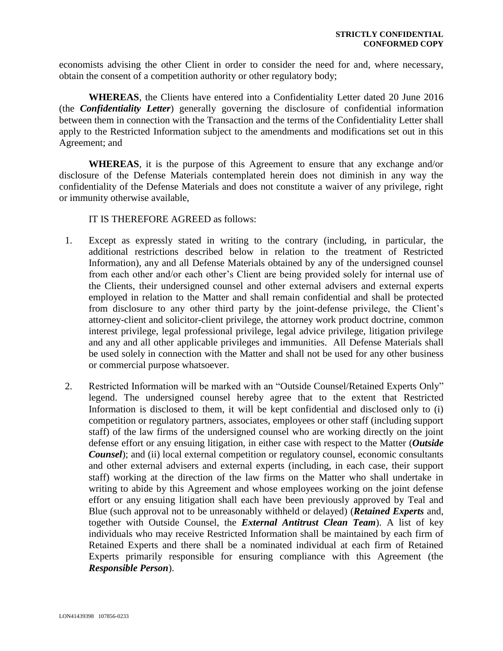economists advising the other Client in order to consider the need for and, where necessary, obtain the consent of a competition authority or other regulatory body;

**WHEREAS**, the Clients have entered into a Confidentiality Letter dated 20 June 2016 (the *Confidentiality Letter*) generally governing the disclosure of confidential information between them in connection with the Transaction and the terms of the Confidentiality Letter shall apply to the Restricted Information subject to the amendments and modifications set out in this Agreement; and

**WHEREAS**, it is the purpose of this Agreement to ensure that any exchange and/or disclosure of the Defense Materials contemplated herein does not diminish in any way the confidentiality of the Defense Materials and does not constitute a waiver of any privilege, right or immunity otherwise available,

IT IS THEREFORE AGREED as follows:

- 1. Except as expressly stated in writing to the contrary (including, in particular, the additional restrictions described below in relation to the treatment of Restricted Information), any and all Defense Materials obtained by any of the undersigned counsel from each other and/or each other's Client are being provided solely for internal use of the Clients, their undersigned counsel and other external advisers and external experts employed in relation to the Matter and shall remain confidential and shall be protected from disclosure to any other third party by the joint-defense privilege, the Client's attorney-client and solicitor-client privilege, the attorney work product doctrine, common interest privilege, legal professional privilege, legal advice privilege, litigation privilege and any and all other applicable privileges and immunities. All Defense Materials shall be used solely in connection with the Matter and shall not be used for any other business or commercial purpose whatsoever.
- 2. Restricted Information will be marked with an "Outside Counsel/Retained Experts Only" legend. The undersigned counsel hereby agree that to the extent that Restricted Information is disclosed to them, it will be kept confidential and disclosed only to (i) competition or regulatory partners, associates, employees or other staff (including support staff) of the law firms of the undersigned counsel who are working directly on the joint defense effort or any ensuing litigation, in either case with respect to the Matter (*Outside Counsel*); and (ii) local external competition or regulatory counsel, economic consultants and other external advisers and external experts (including, in each case, their support staff) working at the direction of the law firms on the Matter who shall undertake in writing to abide by this Agreement and whose employees working on the joint defense effort or any ensuing litigation shall each have been previously approved by Teal and Blue (such approval not to be unreasonably withheld or delayed) (*Retained Experts* and, together with Outside Counsel, the *External Antitrust Clean Team*). A list of key individuals who may receive Restricted Information shall be maintained by each firm of Retained Experts and there shall be a nominated individual at each firm of Retained Experts primarily responsible for ensuring compliance with this Agreement (the *Responsible Person*).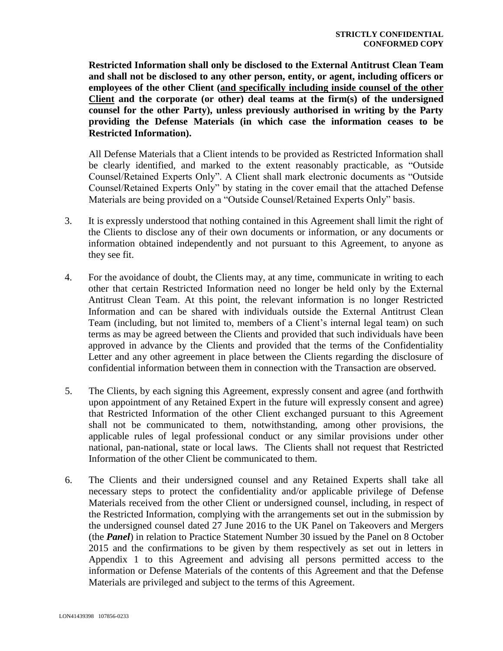**Restricted Information shall only be disclosed to the External Antitrust Clean Team and shall not be disclosed to any other person, entity, or agent, including officers or employees of the other Client (and specifically including inside counsel of the other Client and the corporate (or other) deal teams at the firm(s) of the undersigned counsel for the other Party), unless previously authorised in writing by the Party providing the Defense Materials (in which case the information ceases to be Restricted Information).**

All Defense Materials that a Client intends to be provided as Restricted Information shall be clearly identified, and marked to the extent reasonably practicable, as "Outside Counsel/Retained Experts Only". A Client shall mark electronic documents as "Outside Counsel/Retained Experts Only" by stating in the cover email that the attached Defense Materials are being provided on a "Outside Counsel/Retained Experts Only" basis.

- 3. It is expressly understood that nothing contained in this Agreement shall limit the right of the Clients to disclose any of their own documents or information, or any documents or information obtained independently and not pursuant to this Agreement, to anyone as they see fit.
- 4. For the avoidance of doubt, the Clients may, at any time, communicate in writing to each other that certain Restricted Information need no longer be held only by the External Antitrust Clean Team. At this point, the relevant information is no longer Restricted Information and can be shared with individuals outside the External Antitrust Clean Team (including, but not limited to, members of a Client's internal legal team) on such terms as may be agreed between the Clients and provided that such individuals have been approved in advance by the Clients and provided that the terms of the Confidentiality Letter and any other agreement in place between the Clients regarding the disclosure of confidential information between them in connection with the Transaction are observed.
- 5. The Clients, by each signing this Agreement, expressly consent and agree (and forthwith upon appointment of any Retained Expert in the future will expressly consent and agree) that Restricted Information of the other Client exchanged pursuant to this Agreement shall not be communicated to them, notwithstanding, among other provisions, the applicable rules of legal professional conduct or any similar provisions under other national, pan-national, state or local laws. The Clients shall not request that Restricted Information of the other Client be communicated to them.
- 6. The Clients and their undersigned counsel and any Retained Experts shall take all necessary steps to protect the confidentiality and/or applicable privilege of Defense Materials received from the other Client or undersigned counsel, including, in respect of the Restricted Information, complying with the arrangements set out in the submission by the undersigned counsel dated 27 June 2016 to the UK Panel on Takeovers and Mergers (the *Panel*) in relation to Practice Statement Number 30 issued by the Panel on 8 October 2015 and the confirmations to be given by them respectively as set out in letters in Appendix 1 to this Agreement and advising all persons permitted access to the information or Defense Materials of the contents of this Agreement and that the Defense Materials are privileged and subject to the terms of this Agreement.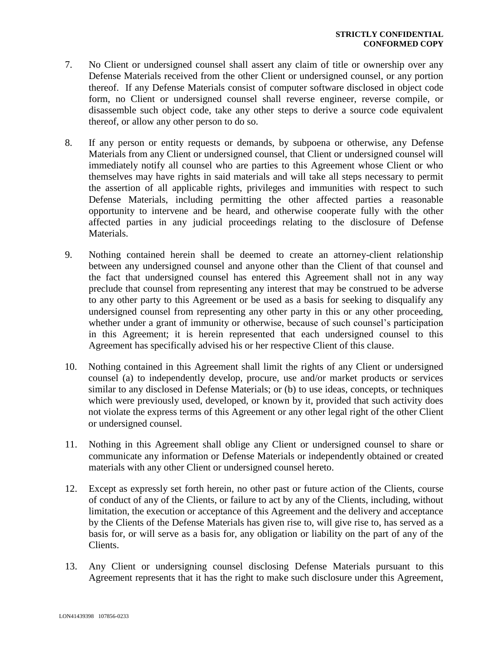- 7. No Client or undersigned counsel shall assert any claim of title or ownership over any Defense Materials received from the other Client or undersigned counsel, or any portion thereof. If any Defense Materials consist of computer software disclosed in object code form, no Client or undersigned counsel shall reverse engineer, reverse compile, or disassemble such object code, take any other steps to derive a source code equivalent thereof, or allow any other person to do so.
- 8. If any person or entity requests or demands, by subpoena or otherwise, any Defense Materials from any Client or undersigned counsel, that Client or undersigned counsel will immediately notify all counsel who are parties to this Agreement whose Client or who themselves may have rights in said materials and will take all steps necessary to permit the assertion of all applicable rights, privileges and immunities with respect to such Defense Materials, including permitting the other affected parties a reasonable opportunity to intervene and be heard, and otherwise cooperate fully with the other affected parties in any judicial proceedings relating to the disclosure of Defense Materials.
- 9. Nothing contained herein shall be deemed to create an attorney-client relationship between any undersigned counsel and anyone other than the Client of that counsel and the fact that undersigned counsel has entered this Agreement shall not in any way preclude that counsel from representing any interest that may be construed to be adverse to any other party to this Agreement or be used as a basis for seeking to disqualify any undersigned counsel from representing any other party in this or any other proceeding, whether under a grant of immunity or otherwise, because of such counsel's participation in this Agreement; it is herein represented that each undersigned counsel to this Agreement has specifically advised his or her respective Client of this clause.
- 10. Nothing contained in this Agreement shall limit the rights of any Client or undersigned counsel (a) to independently develop, procure, use and/or market products or services similar to any disclosed in Defense Materials; or (b) to use ideas, concepts, or techniques which were previously used, developed, or known by it, provided that such activity does not violate the express terms of this Agreement or any other legal right of the other Client or undersigned counsel.
- 11. Nothing in this Agreement shall oblige any Client or undersigned counsel to share or communicate any information or Defense Materials or independently obtained or created materials with any other Client or undersigned counsel hereto.
- 12. Except as expressly set forth herein, no other past or future action of the Clients, course of conduct of any of the Clients, or failure to act by any of the Clients, including, without limitation, the execution or acceptance of this Agreement and the delivery and acceptance by the Clients of the Defense Materials has given rise to, will give rise to, has served as a basis for, or will serve as a basis for, any obligation or liability on the part of any of the Clients.
- 13. Any Client or undersigning counsel disclosing Defense Materials pursuant to this Agreement represents that it has the right to make such disclosure under this Agreement,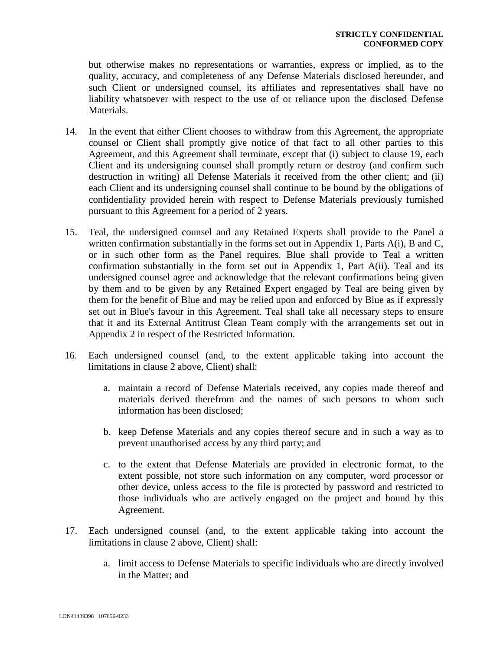but otherwise makes no representations or warranties, express or implied, as to the quality, accuracy, and completeness of any Defense Materials disclosed hereunder, and such Client or undersigned counsel, its affiliates and representatives shall have no liability whatsoever with respect to the use of or reliance upon the disclosed Defense Materials.

- 14. In the event that either Client chooses to withdraw from this Agreement, the appropriate counsel or Client shall promptly give notice of that fact to all other parties to this Agreement, and this Agreement shall terminate, except that (i) subject to clause 19, each Client and its undersigning counsel shall promptly return or destroy (and confirm such destruction in writing) all Defense Materials it received from the other client; and (ii) each Client and its undersigning counsel shall continue to be bound by the obligations of confidentiality provided herein with respect to Defense Materials previously furnished pursuant to this Agreement for a period of 2 years.
- 15. Teal, the undersigned counsel and any Retained Experts shall provide to the Panel a written confirmation substantially in the forms set out in Appendix 1, Parts A(i), B and C, or in such other form as the Panel requires. Blue shall provide to Teal a written confirmation substantially in the form set out in Appendix 1, Part A(ii). Teal and its undersigned counsel agree and acknowledge that the relevant confirmations being given by them and to be given by any Retained Expert engaged by Teal are being given by them for the benefit of Blue and may be relied upon and enforced by Blue as if expressly set out in Blue's favour in this Agreement. Teal shall take all necessary steps to ensure that it and its External Antitrust Clean Team comply with the arrangements set out in Appendix 2 in respect of the Restricted Information.
- 16. Each undersigned counsel (and, to the extent applicable taking into account the limitations in clause 2 above, Client) shall:
	- a. maintain a record of Defense Materials received, any copies made thereof and materials derived therefrom and the names of such persons to whom such information has been disclosed;
	- b. keep Defense Materials and any copies thereof secure and in such a way as to prevent unauthorised access by any third party; and
	- c. to the extent that Defense Materials are provided in electronic format, to the extent possible, not store such information on any computer, word processor or other device, unless access to the file is protected by password and restricted to those individuals who are actively engaged on the project and bound by this Agreement.
- 17. Each undersigned counsel (and, to the extent applicable taking into account the limitations in clause 2 above, Client) shall:
	- a. limit access to Defense Materials to specific individuals who are directly involved in the Matter; and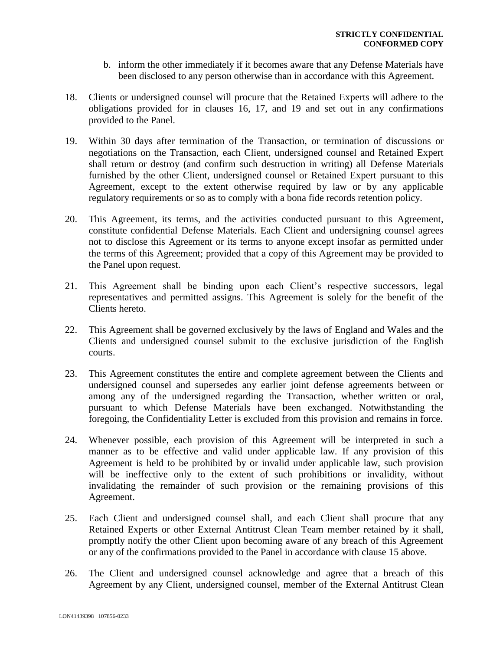- b. inform the other immediately if it becomes aware that any Defense Materials have been disclosed to any person otherwise than in accordance with this Agreement.
- 18. Clients or undersigned counsel will procure that the Retained Experts will adhere to the obligations provided for in clauses 16, 17, and 19 and set out in any confirmations provided to the Panel.
- 19. Within 30 days after termination of the Transaction, or termination of discussions or negotiations on the Transaction, each Client, undersigned counsel and Retained Expert shall return or destroy (and confirm such destruction in writing) all Defense Materials furnished by the other Client, undersigned counsel or Retained Expert pursuant to this Agreement, except to the extent otherwise required by law or by any applicable regulatory requirements or so as to comply with a bona fide records retention policy.
- 20. This Agreement, its terms, and the activities conducted pursuant to this Agreement, constitute confidential Defense Materials. Each Client and undersigning counsel agrees not to disclose this Agreement or its terms to anyone except insofar as permitted under the terms of this Agreement; provided that a copy of this Agreement may be provided to the Panel upon request.
- 21. This Agreement shall be binding upon each Client's respective successors, legal representatives and permitted assigns. This Agreement is solely for the benefit of the Clients hereto.
- 22. This Agreement shall be governed exclusively by the laws of England and Wales and the Clients and undersigned counsel submit to the exclusive jurisdiction of the English courts.
- 23. This Agreement constitutes the entire and complete agreement between the Clients and undersigned counsel and supersedes any earlier joint defense agreements between or among any of the undersigned regarding the Transaction, whether written or oral, pursuant to which Defense Materials have been exchanged. Notwithstanding the foregoing, the Confidentiality Letter is excluded from this provision and remains in force.
- 24. Whenever possible, each provision of this Agreement will be interpreted in such a manner as to be effective and valid under applicable law. If any provision of this Agreement is held to be prohibited by or invalid under applicable law, such provision will be ineffective only to the extent of such prohibitions or invalidity, without invalidating the remainder of such provision or the remaining provisions of this Agreement.
- 25. Each Client and undersigned counsel shall, and each Client shall procure that any Retained Experts or other External Antitrust Clean Team member retained by it shall, promptly notify the other Client upon becoming aware of any breach of this Agreement or any of the confirmations provided to the Panel in accordance with clause 15 above.
- 26. The Client and undersigned counsel acknowledge and agree that a breach of this Agreement by any Client, undersigned counsel, member of the External Antitrust Clean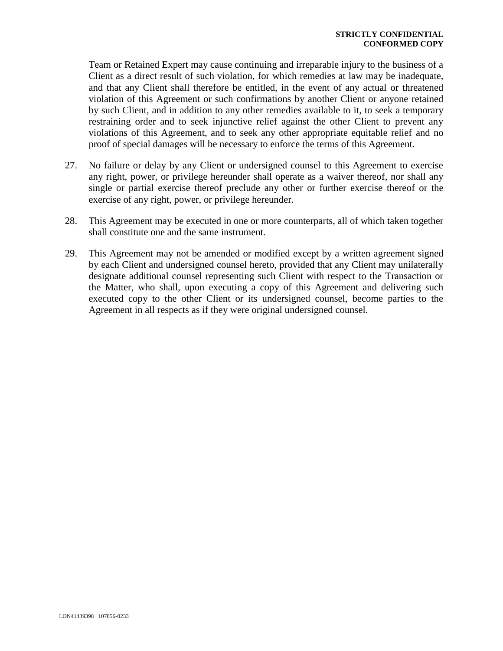Team or Retained Expert may cause continuing and irreparable injury to the business of a Client as a direct result of such violation, for which remedies at law may be inadequate, and that any Client shall therefore be entitled, in the event of any actual or threatened violation of this Agreement or such confirmations by another Client or anyone retained by such Client, and in addition to any other remedies available to it, to seek a temporary restraining order and to seek injunctive relief against the other Client to prevent any violations of this Agreement, and to seek any other appropriate equitable relief and no proof of special damages will be necessary to enforce the terms of this Agreement.

- 27. No failure or delay by any Client or undersigned counsel to this Agreement to exercise any right, power, or privilege hereunder shall operate as a waiver thereof, nor shall any single or partial exercise thereof preclude any other or further exercise thereof or the exercise of any right, power, or privilege hereunder.
- 28. This Agreement may be executed in one or more counterparts, all of which taken together shall constitute one and the same instrument.
- 29. This Agreement may not be amended or modified except by a written agreement signed by each Client and undersigned counsel hereto, provided that any Client may unilaterally designate additional counsel representing such Client with respect to the Transaction or the Matter, who shall, upon executing a copy of this Agreement and delivering such executed copy to the other Client or its undersigned counsel, become parties to the Agreement in all respects as if they were original undersigned counsel.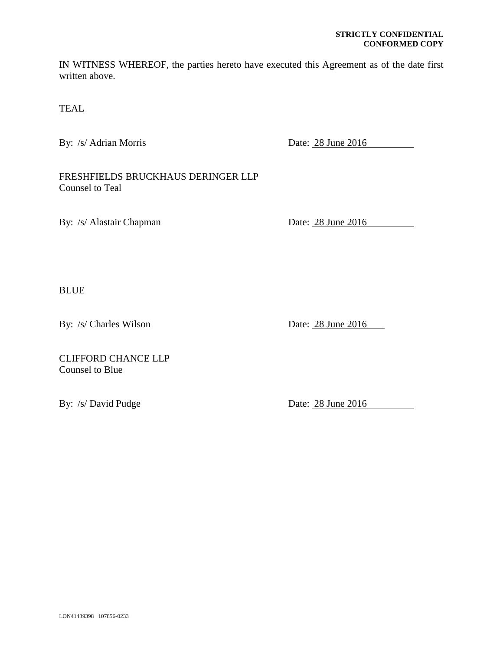#### **STRICTLY CONFIDENTIAL CONFORMED COPY**

IN WITNESS WHEREOF, the parties hereto have executed this Agreement as of the date first written above.

TEAL

By: /s/ Adrian Morris Date: 28 June 2016

FRESHFIELDS BRUCKHAUS DERINGER LLP Counsel to Teal

By: /s/ Alastair Chapman Date: 28 June 2016

BLUE

By: /s/ Charles Wilson Date: 28 June 2016

CLIFFORD CHANCE LLP Counsel to Blue

By: /s/ David Pudge Date: 28 June 2016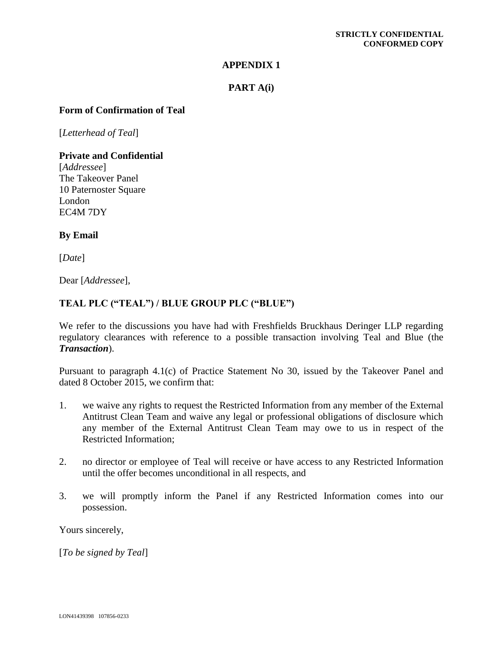### **APPENDIX 1**

### **PART A(i)**

### **Form of Confirmation of Teal**

[*Letterhead of Teal*]

**Private and Confidential**

[*Addressee*] The Takeover Panel 10 Paternoster Square London EC4M 7DY

### **By Email**

[*Date*]

Dear [*Addressee*],

### **TEAL PLC ("TEAL") / BLUE GROUP PLC ("BLUE")**

We refer to the discussions you have had with Freshfields Bruckhaus Deringer LLP regarding regulatory clearances with reference to a possible transaction involving Teal and Blue (the *Transaction*).

Pursuant to paragraph 4.1(c) of Practice Statement No 30, issued by the Takeover Panel and dated 8 October 2015, we confirm that:

- 1. we waive any rights to request the Restricted Information from any member of the External Antitrust Clean Team and waive any legal or professional obligations of disclosure which any member of the External Antitrust Clean Team may owe to us in respect of the Restricted Information;
- 2. no director or employee of Teal will receive or have access to any Restricted Information until the offer becomes unconditional in all respects, and
- 3. we will promptly inform the Panel if any Restricted Information comes into our possession.

Yours sincerely,

[*To be signed by Teal*]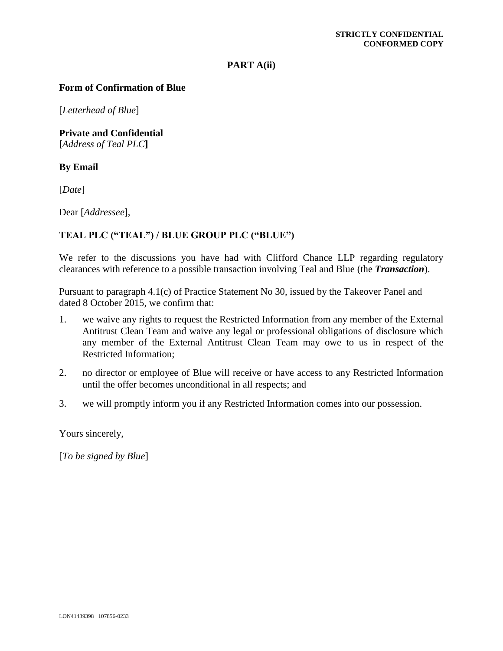#### **PART A(ii)**

### **Form of Confirmation of Blue**

[*Letterhead of Blue*]

**Private and Confidential [***Address of Teal PLC***]**

### **By Email**

[*Date*]

Dear [*Addressee*],

### **TEAL PLC ("TEAL") / BLUE GROUP PLC ("BLUE")**

We refer to the discussions you have had with Clifford Chance LLP regarding regulatory clearances with reference to a possible transaction involving Teal and Blue (the *Transaction*).

Pursuant to paragraph 4.1(c) of Practice Statement No 30, issued by the Takeover Panel and dated 8 October 2015, we confirm that:

- 1. we waive any rights to request the Restricted Information from any member of the External Antitrust Clean Team and waive any legal or professional obligations of disclosure which any member of the External Antitrust Clean Team may owe to us in respect of the Restricted Information;
- 2. no director or employee of Blue will receive or have access to any Restricted Information until the offer becomes unconditional in all respects; and
- 3. we will promptly inform you if any Restricted Information comes into our possession.

Yours sincerely,

[*To be signed by Blue*]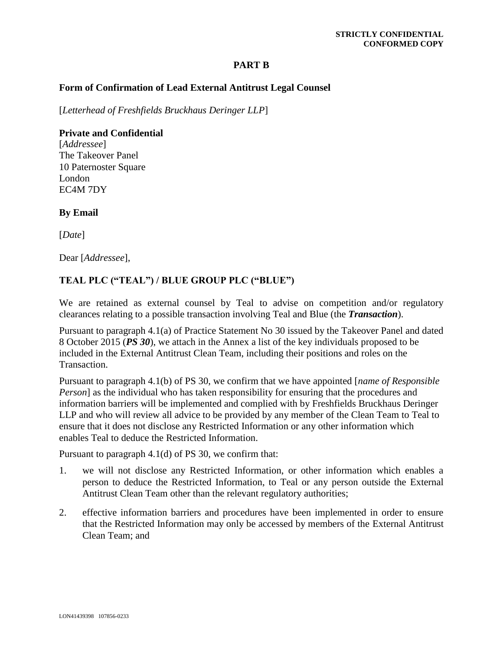### **PART B**

### **Form of Confirmation of Lead External Antitrust Legal Counsel**

[*Letterhead of Freshfields Bruckhaus Deringer LLP*]

# **Private and Confidential**

[*Addressee*] The Takeover Panel 10 Paternoster Square London EC4M 7DY

### **By Email**

[*Date*]

Dear [*Addressee*],

## **TEAL PLC ("TEAL") / BLUE GROUP PLC ("BLUE")**

We are retained as external counsel by Teal to advise on competition and/or regulatory clearances relating to a possible transaction involving Teal and Blue (the *Transaction*).

Pursuant to paragraph 4.1(a) of Practice Statement No 30 issued by the Takeover Panel and dated 8 October 2015 (*PS 30*), we attach in the Annex a list of the key individuals proposed to be included in the External Antitrust Clean Team, including their positions and roles on the Transaction.

Pursuant to paragraph 4.1(b) of PS 30, we confirm that we have appointed [*name of Responsible Person*] as the individual who has taken responsibility for ensuring that the procedures and information barriers will be implemented and complied with by Freshfields Bruckhaus Deringer LLP and who will review all advice to be provided by any member of the Clean Team to Teal to ensure that it does not disclose any Restricted Information or any other information which enables Teal to deduce the Restricted Information.

Pursuant to paragraph 4.1(d) of PS 30, we confirm that:

- 1. we will not disclose any Restricted Information, or other information which enables a person to deduce the Restricted Information, to Teal or any person outside the External Antitrust Clean Team other than the relevant regulatory authorities;
- 2. effective information barriers and procedures have been implemented in order to ensure that the Restricted Information may only be accessed by members of the External Antitrust Clean Team; and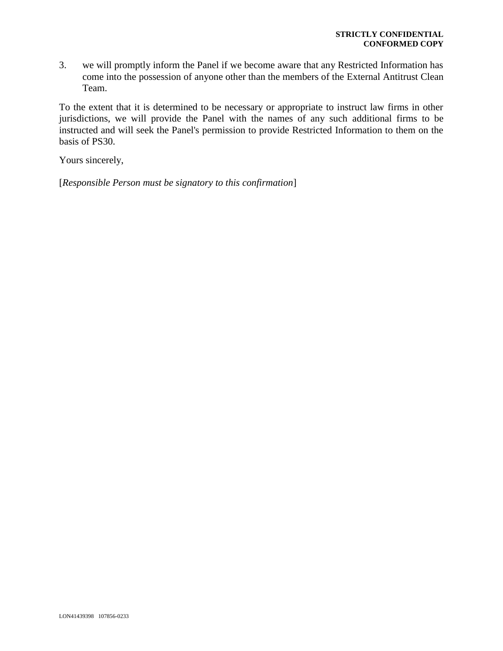3. we will promptly inform the Panel if we become aware that any Restricted Information has come into the possession of anyone other than the members of the External Antitrust Clean Team.

To the extent that it is determined to be necessary or appropriate to instruct law firms in other jurisdictions, we will provide the Panel with the names of any such additional firms to be instructed and will seek the Panel's permission to provide Restricted Information to them on the basis of PS30.

Yours sincerely,

[*Responsible Person must be signatory to this confirmation*]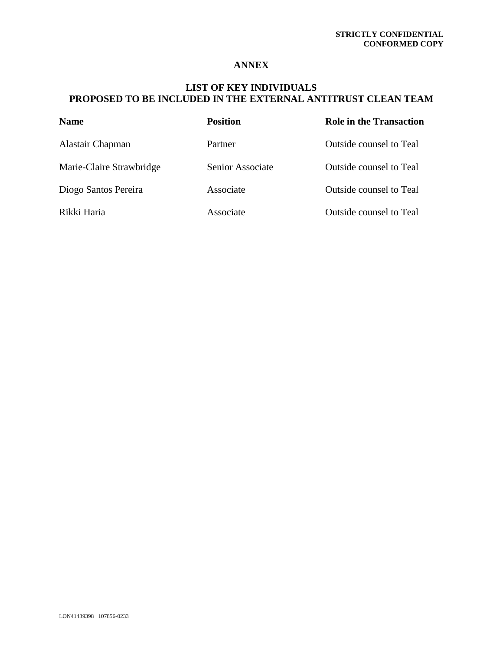### **ANNEX**

# **LIST OF KEY INDIVIDUALS PROPOSED TO BE INCLUDED IN THE EXTERNAL ANTITRUST CLEAN TEAM**

| <b>Name</b>              | <b>Position</b>  | <b>Role in the Transaction</b> |
|--------------------------|------------------|--------------------------------|
| Alastair Chapman         | Partner          | <b>Outside counsel to Teal</b> |
| Marie-Claire Strawbridge | Senior Associate | Outside counsel to Teal        |
| Diogo Santos Pereira     | Associate        | <b>Outside counsel to Teal</b> |
| Rikki Haria              | Associate        | <b>Outside counsel to Teal</b> |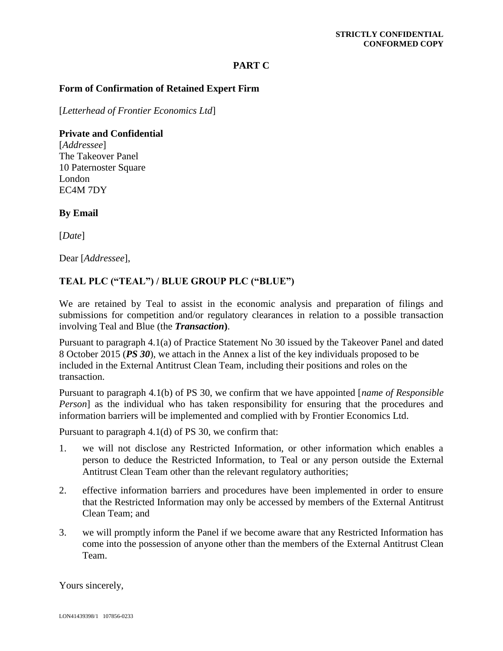### **PART C**

### **Form of Confirmation of Retained Expert Firm**

[*Letterhead of Frontier Economics Ltd*]

**Private and Confidential** [*Addressee*] The Takeover Panel 10 Paternoster Square London EC4M 7DY

**By Email**

[*Date*]

Dear [*Addressee*],

### **TEAL PLC ("TEAL") / BLUE GROUP PLC ("BLUE")**

We are retained by Teal to assist in the economic analysis and preparation of filings and submissions for competition and/or regulatory clearances in relation to a possible transaction involving Teal and Blue (the *Transaction***)**.

Pursuant to paragraph 4.1(a) of Practice Statement No 30 issued by the Takeover Panel and dated 8 October 2015 (*PS 30*), we attach in the Annex a list of the key individuals proposed to be included in the External Antitrust Clean Team, including their positions and roles on the transaction.

Pursuant to paragraph 4.1(b) of PS 30, we confirm that we have appointed [*name of Responsible Person*] as the individual who has taken responsibility for ensuring that the procedures and information barriers will be implemented and complied with by Frontier Economics Ltd.

Pursuant to paragraph 4.1(d) of PS 30, we confirm that:

- 1. we will not disclose any Restricted Information, or other information which enables a person to deduce the Restricted Information, to Teal or any person outside the External Antitrust Clean Team other than the relevant regulatory authorities;
- 2. effective information barriers and procedures have been implemented in order to ensure that the Restricted Information may only be accessed by members of the External Antitrust Clean Team; and
- 3. we will promptly inform the Panel if we become aware that any Restricted Information has come into the possession of anyone other than the members of the External Antitrust Clean Team.

Yours sincerely,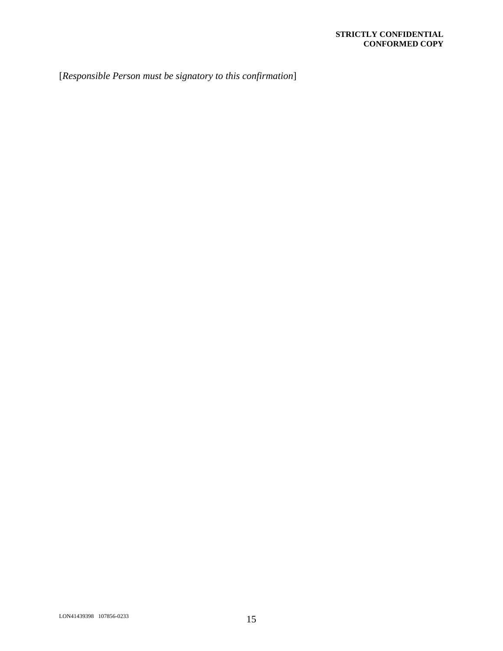[*Responsible Person must be signatory to this confirmation*]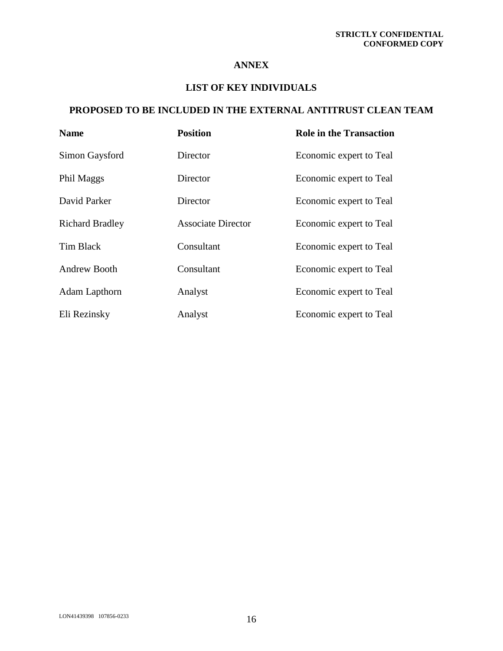### **ANNEX**

## **LIST OF KEY INDIVIDUALS**

# **PROPOSED TO BE INCLUDED IN THE EXTERNAL ANTITRUST CLEAN TEAM**

| <b>Name</b>            | <b>Position</b>           | <b>Role in the Transaction</b> |
|------------------------|---------------------------|--------------------------------|
| Simon Gaysford         | Director                  | Economic expert to Teal        |
| Phil Maggs             | Director                  | Economic expert to Teal        |
| David Parker           | Director                  | Economic expert to Teal        |
| <b>Richard Bradley</b> | <b>Associate Director</b> | Economic expert to Teal        |
| Tim Black              | Consultant                | Economic expert to Teal        |
| <b>Andrew Booth</b>    | Consultant                | Economic expert to Teal        |
| Adam Lapthorn          | Analyst                   | Economic expert to Teal        |
| Eli Rezinsky           | Analyst                   | Economic expert to Teal        |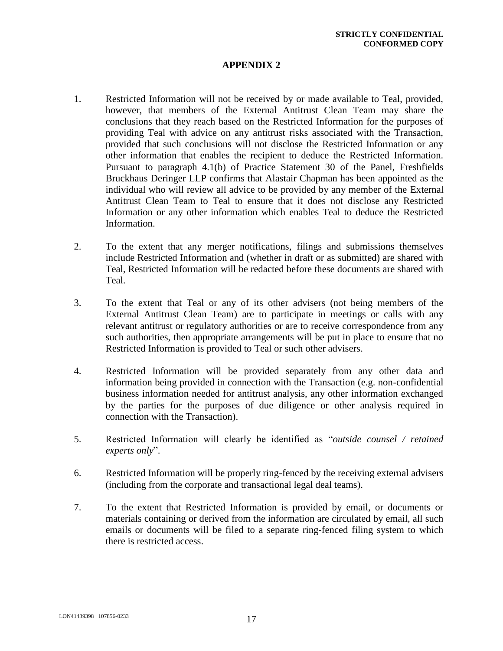### **APPENDIX 2**

- 1. Restricted Information will not be received by or made available to Teal, provided, however, that members of the External Antitrust Clean Team may share the conclusions that they reach based on the Restricted Information for the purposes of providing Teal with advice on any antitrust risks associated with the Transaction, provided that such conclusions will not disclose the Restricted Information or any other information that enables the recipient to deduce the Restricted Information. Pursuant to paragraph 4.1(b) of Practice Statement 30 of the Panel, Freshfields Bruckhaus Deringer LLP confirms that Alastair Chapman has been appointed as the individual who will review all advice to be provided by any member of the External Antitrust Clean Team to Teal to ensure that it does not disclose any Restricted Information or any other information which enables Teal to deduce the Restricted Information.
- 2. To the extent that any merger notifications, filings and submissions themselves include Restricted Information and (whether in draft or as submitted) are shared with Teal, Restricted Information will be redacted before these documents are shared with Teal.
- 3. To the extent that Teal or any of its other advisers (not being members of the External Antitrust Clean Team) are to participate in meetings or calls with any relevant antitrust or regulatory authorities or are to receive correspondence from any such authorities, then appropriate arrangements will be put in place to ensure that no Restricted Information is provided to Teal or such other advisers.
- 4. Restricted Information will be provided separately from any other data and information being provided in connection with the Transaction (e.g. non-confidential business information needed for antitrust analysis, any other information exchanged by the parties for the purposes of due diligence or other analysis required in connection with the Transaction).
- 5. Restricted Information will clearly be identified as "*outside counsel / retained experts only*".
- 6. Restricted Information will be properly ring-fenced by the receiving external advisers (including from the corporate and transactional legal deal teams).
- 7. To the extent that Restricted Information is provided by email, or documents or materials containing or derived from the information are circulated by email, all such emails or documents will be filed to a separate ring-fenced filing system to which there is restricted access.